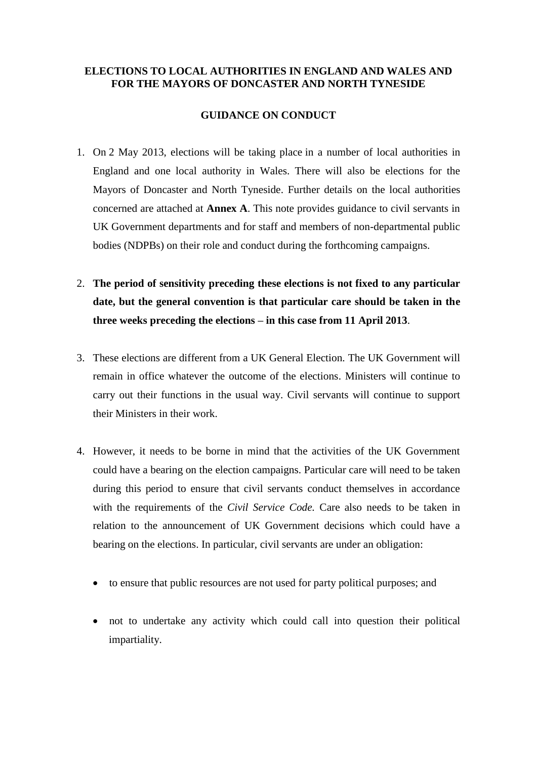## **ELECTIONS TO LOCAL AUTHORITIES IN ENGLAND AND WALES AND FOR THE MAYORS OF DONCASTER AND NORTH TYNESIDE**

## **GUIDANCE ON CONDUCT**

- 1. On 2 May 2013, elections will be taking place in a number of local authorities in England and one local authority in Wales. There will also be elections for the Mayors of Doncaster and North Tyneside. Further details on the local authorities concerned are attached at **Annex A**. This note provides guidance to civil servants in UK Government departments and for staff and members of non-departmental public bodies (NDPBs) on their role and conduct during the forthcoming campaigns.
- 2. **The period of sensitivity preceding these elections is not fixed to any particular date, but the general convention is that particular care should be taken in the three weeks preceding the elections – in this case from 11 April 2013**.
- 3. These elections are different from a UK General Election. The UK Government will remain in office whatever the outcome of the elections. Ministers will continue to carry out their functions in the usual way. Civil servants will continue to support their Ministers in their work.
- 4. However, it needs to be borne in mind that the activities of the UK Government could have a bearing on the election campaigns. Particular care will need to be taken during this period to ensure that civil servants conduct themselves in accordance with the requirements of the *Civil Service Code.* Care also needs to be taken in relation to the announcement of UK Government decisions which could have a bearing on the elections. In particular, civil servants are under an obligation:
	- to ensure that public resources are not used for party political purposes; and
	- not to undertake any activity which could call into question their political impartiality.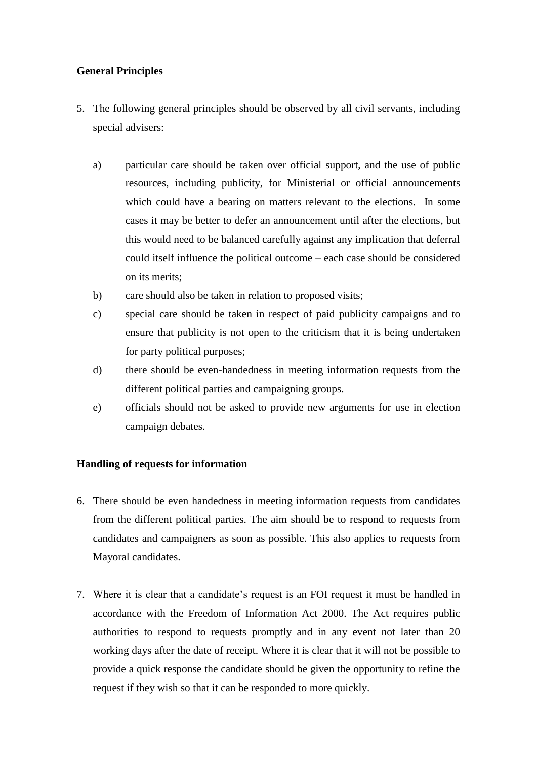## **General Principles**

- 5. The following general principles should be observed by all civil servants, including special advisers:
	- a) particular care should be taken over official support, and the use of public resources, including publicity, for Ministerial or official announcements which could have a bearing on matters relevant to the elections. In some cases it may be better to defer an announcement until after the elections, but this would need to be balanced carefully against any implication that deferral could itself influence the political outcome – each case should be considered on its merits;
	- b) care should also be taken in relation to proposed visits;
	- c) special care should be taken in respect of paid publicity campaigns and to ensure that publicity is not open to the criticism that it is being undertaken for party political purposes;
	- d) there should be even-handedness in meeting information requests from the different political parties and campaigning groups.
	- e) officials should not be asked to provide new arguments for use in election campaign debates.

# **Handling of requests for information**

- 6. There should be even handedness in meeting information requests from candidates from the different political parties. The aim should be to respond to requests from candidates and campaigners as soon as possible. This also applies to requests from Mayoral candidates.
- 7. Where it is clear that a candidate's request is an FOI request it must be handled in accordance with the Freedom of Information Act 2000. The Act requires public authorities to respond to requests promptly and in any event not later than 20 working days after the date of receipt. Where it is clear that it will not be possible to provide a quick response the candidate should be given the opportunity to refine the request if they wish so that it can be responded to more quickly.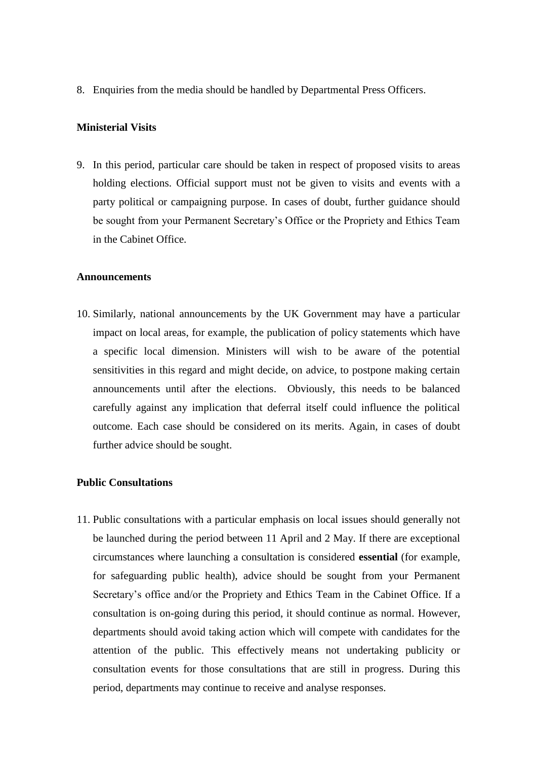8. Enquiries from the media should be handled by Departmental Press Officers.

## **Ministerial Visits**

9. In this period, particular care should be taken in respect of proposed visits to areas holding elections. Official support must not be given to visits and events with a party political or campaigning purpose. In cases of doubt, further guidance should be sought from your Permanent Secretary's Office or the Propriety and Ethics Team in the Cabinet Office.

#### **Announcements**

10. Similarly, national announcements by the UK Government may have a particular impact on local areas, for example, the publication of policy statements which have a specific local dimension. Ministers will wish to be aware of the potential sensitivities in this regard and might decide, on advice, to postpone making certain announcements until after the elections. Obviously, this needs to be balanced carefully against any implication that deferral itself could influence the political outcome. Each case should be considered on its merits. Again, in cases of doubt further advice should be sought.

## **Public Consultations**

11. Public consultations with a particular emphasis on local issues should generally not be launched during the period between 11 April and 2 May. If there are exceptional circumstances where launching a consultation is considered **essential** (for example, for safeguarding public health), advice should be sought from your Permanent Secretary's office and/or the Propriety and Ethics Team in the Cabinet Office. If a consultation is on-going during this period, it should continue as normal. However, departments should avoid taking action which will compete with candidates for the attention of the public. This effectively means not undertaking publicity or consultation events for those consultations that are still in progress. During this period, departments may continue to receive and analyse responses.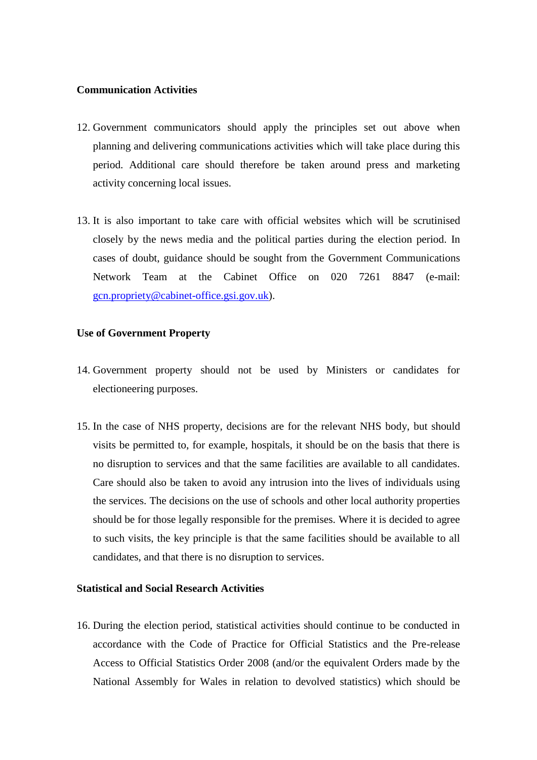## **Communication Activities**

- 12. Government communicators should apply the principles set out above when planning and delivering communications activities which will take place during this period. Additional care should therefore be taken around press and marketing activity concerning local issues.
- 13. It is also important to take care with official websites which will be scrutinised closely by the news media and the political parties during the election period. In cases of doubt, guidance should be sought from the Government Communications Network Team at the Cabinet Office on 020 7261 8847 (e-mail: [gcn.propriety@cabinet-office.gsi.gov.uk\)](mailto:gcn.propriety@cabinet-office.gsi.gov.uk).

## **Use of Government Property**

- 14. Government property should not be used by Ministers or candidates for electioneering purposes.
- 15. In the case of NHS property, decisions are for the relevant NHS body, but should visits be permitted to, for example, hospitals, it should be on the basis that there is no disruption to services and that the same facilities are available to all candidates. Care should also be taken to avoid any intrusion into the lives of individuals using the services. The decisions on the use of schools and other local authority properties should be for those legally responsible for the premises. Where it is decided to agree to such visits, the key principle is that the same facilities should be available to all candidates, and that there is no disruption to services.

## **Statistical and Social Research Activities**

16. During the election period, statistical activities should continue to be conducted in accordance with the Code of Practice for Official Statistics and the Pre-release Access to Official Statistics Order 2008 (and/or the equivalent Orders made by the National Assembly for Wales in relation to devolved statistics) which should be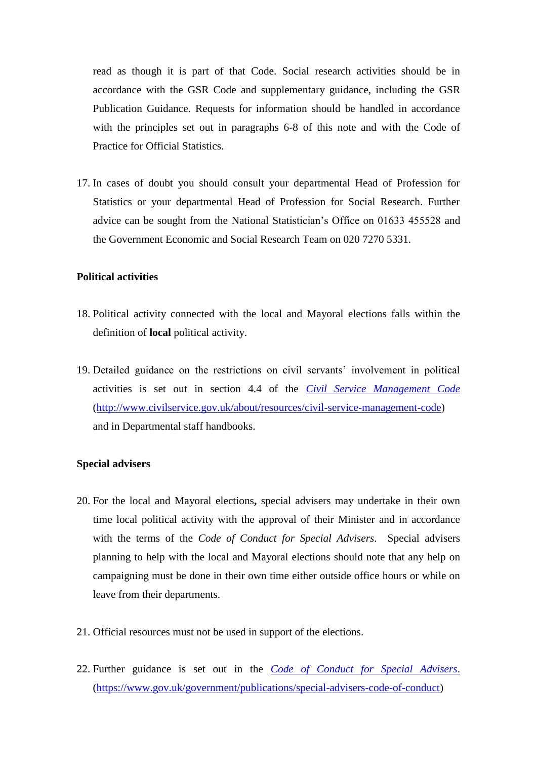read as though it is part of that Code. Social research activities should be in accordance with the GSR Code and supplementary guidance, including the GSR Publication Guidance. Requests for information should be handled in accordance with the principles set out in paragraphs 6-8 of this note and with the Code of Practice for Official Statistics.

17. In cases of doubt you should consult your departmental Head of Profession for Statistics or your departmental Head of Profession for Social Research. Further advice can be sought from the National Statistician's Office on 01633 455528 and the Government Economic and Social Research Team on 020 7270 5331.

## **Political activities**

- 18. Political activity connected with the local and Mayoral elections falls within the definition of **local** political activity.
- 19. Detailed guidance on the restrictions on civil servants' involvement in political activities is set out in section 4.4 of the *[Civil Service Management Code](http://www.civilservice.gov.uk/Assets/civil-service-management-code-2011_tcm6-3222.doc)* [\(http://www.civilservice.gov.uk/about/resources/civil-service-management-code\)](http://www.civilservice.gov.uk/about/resources/civil-service-management-code) and in Departmental staff handbooks.

#### **Special advisers**

- 20. For the local and Mayoral elections**,** special advisers may undertake in their own time local political activity with the approval of their Minister and in accordance with the terms of the *Code of Conduct for Special Advisers*. Special advisers planning to help with the local and Mayoral elections should note that any help on campaigning must be done in their own time either outside office hours or while on leave from their departments.
- 21. Official resources must not be used in support of the elections.
- 22. Further guidance is set out in the *Code [of Conduct for Special Advisers](http://www.cabinetoffice.gov.uk/sites/default/files/resources/special-advisers-code-of-conduct.pdf)*. [\(https://www.gov.uk/government/publications/special-advisers-code-of-conduct\)](https://www.gov.uk/government/publications/special-advisers-code-of-conduct)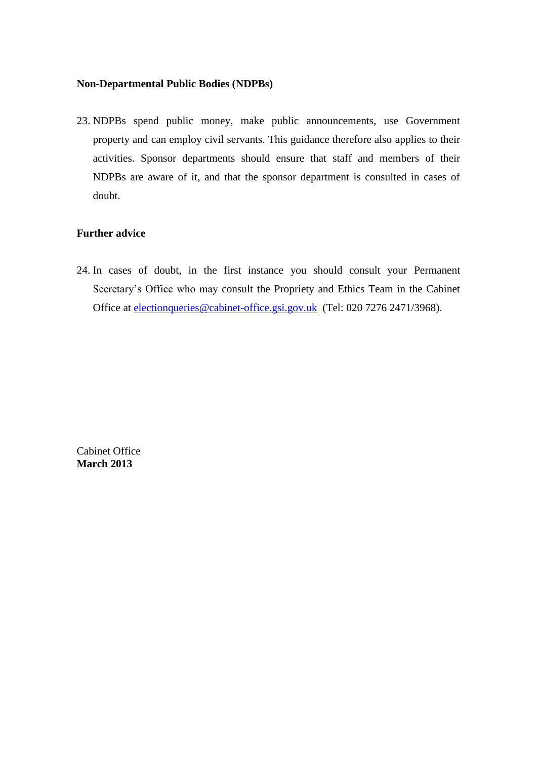### **Non-Departmental Public Bodies (NDPBs)**

23. NDPBs spend public money, make public announcements, use Government property and can employ civil servants. This guidance therefore also applies to their activities. Sponsor departments should ensure that staff and members of their NDPBs are aware of it, and that the sponsor department is consulted in cases of doubt.

## **Further advice**

24. In cases of doubt, in the first instance you should consult your Permanent Secretary's Office who may consult the Propriety and Ethics Team in the Cabinet Office at [electionqueries@cabinet-office.gsi.gov.uk](mailto:electionqueries@cabinet-office.gsi.gov.uk) (Tel: 020 7276 2471/3968).

Cabinet Office **March 2013**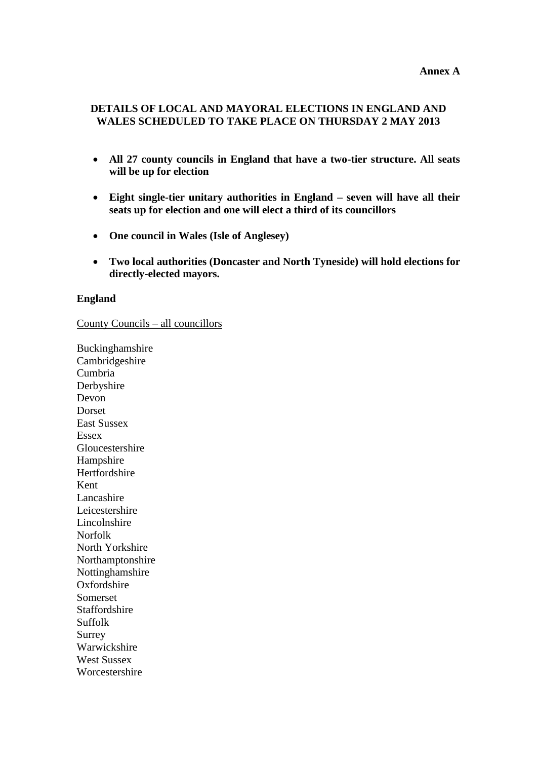## **DETAILS OF LOCAL AND MAYORAL ELECTIONS IN ENGLAND AND WALES SCHEDULED TO TAKE PLACE ON THURSDAY 2 MAY 2013**

- **All 27 county councils in England that have a two-tier structure. All seats will be up for election**
- **Eight single-tier unitary authorities in England – seven will have all their seats up for election and one will elect a third of its councillors**
- **One council in Wales (Isle of Anglesey)**
- **Two local authorities (Doncaster and North Tyneside) will hold elections for directly-elected mayors.**

#### **England**

County Councils – all councillors

Buckinghamshire Cambridgeshire Cumbria Derbyshire Devon Dorset East Sussex Essex Gloucestershire Hampshire Hertfordshire Kent Lancashire Leicestershire Lincolnshire Norfolk North Yorkshire Northamptonshire Nottinghamshire **Oxfordshire** Somerset Staffordshire Suffolk Surrey Warwickshire West Sussex Worcestershire